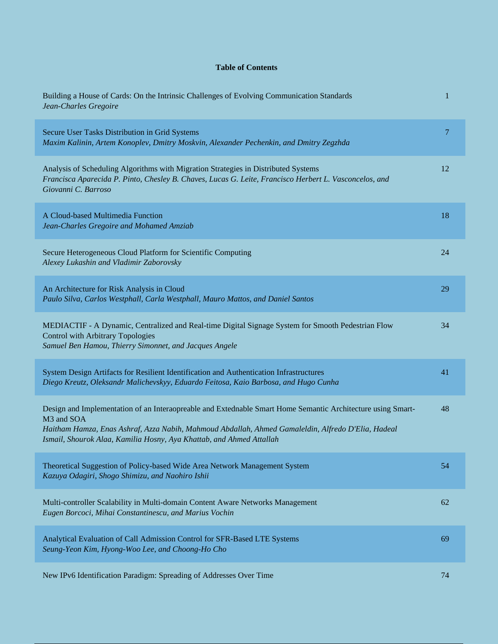## **Table of Contents**

| Building a House of Cards: On the Intrinsic Challenges of Evolving Communication Standards<br>Jean-Charles Gregoire                                                                                                                                                                                     | 1              |
|---------------------------------------------------------------------------------------------------------------------------------------------------------------------------------------------------------------------------------------------------------------------------------------------------------|----------------|
| Secure User Tasks Distribution in Grid Systems<br>Maxim Kalinin, Artem Konoplev, Dmitry Moskvin, Alexander Pechenkin, and Dmitry Zegzhda                                                                                                                                                                | $\overline{7}$ |
| Analysis of Scheduling Algorithms with Migration Strategies in Distributed Systems<br>Francisca Aparecida P. Pinto, Chesley B. Chaves, Lucas G. Leite, Francisco Herbert L. Vasconcelos, and<br>Giovanni C. Barroso                                                                                     | 12             |
| A Cloud-based Multimedia Function<br>Jean-Charles Gregoire and Mohamed Amziab                                                                                                                                                                                                                           | 18             |
| Secure Heterogeneous Cloud Platform for Scientific Computing<br>Alexey Lukashin and Vladimir Zaborovsky                                                                                                                                                                                                 | 24             |
| An Architecture for Risk Analysis in Cloud<br>Paulo Silva, Carlos Westphall, Carla Westphall, Mauro Mattos, and Daniel Santos                                                                                                                                                                           | 29             |
| MEDIACTIF - A Dynamic, Centralized and Real-time Digital Signage System for Smooth Pedestrian Flow<br><b>Control with Arbitrary Topologies</b><br>Samuel Ben Hamou, Thierry Simonnet, and Jacques Angele                                                                                                | 34             |
| System Design Artifacts for Resilient Identification and Authentication Infrastructures<br>Diego Kreutz, Oleksandr Malichevskyy, Eduardo Feitosa, Kaio Barbosa, and Hugo Cunha                                                                                                                          | 41             |
| Design and Implementation of an Interaopreable and Extednable Smart Home Semantic Architecture using Smart-<br>M3 and SOA<br>Haitham Hamza, Enas Ashraf, Azza Nabih, Mahmoud Abdallah, Ahmed Gamaleldin, Alfredo D'Elia, Hadeal<br>Ismail, Shourok Alaa, Kamilia Hosny, Aya Khattab, and Ahmed Attallah | 48             |
| Theoretical Suggestion of Policy-based Wide Area Network Management System<br>Kazuya Odagiri, Shogo Shimizu, and Naohiro Ishii                                                                                                                                                                          | 54             |
| Multi-controller Scalability in Multi-domain Content Aware Networks Management<br>Eugen Borcoci, Mihai Constantinescu, and Marius Vochin                                                                                                                                                                | 62             |
| Analytical Evaluation of Call Admission Control for SFR-Based LTE Systems<br>Seung-Yeon Kim, Hyong-Woo Lee, and Choong-Ho Cho                                                                                                                                                                           | 69             |
| New IPv6 Identification Paradigm: Spreading of Addresses Over Time                                                                                                                                                                                                                                      | 74             |